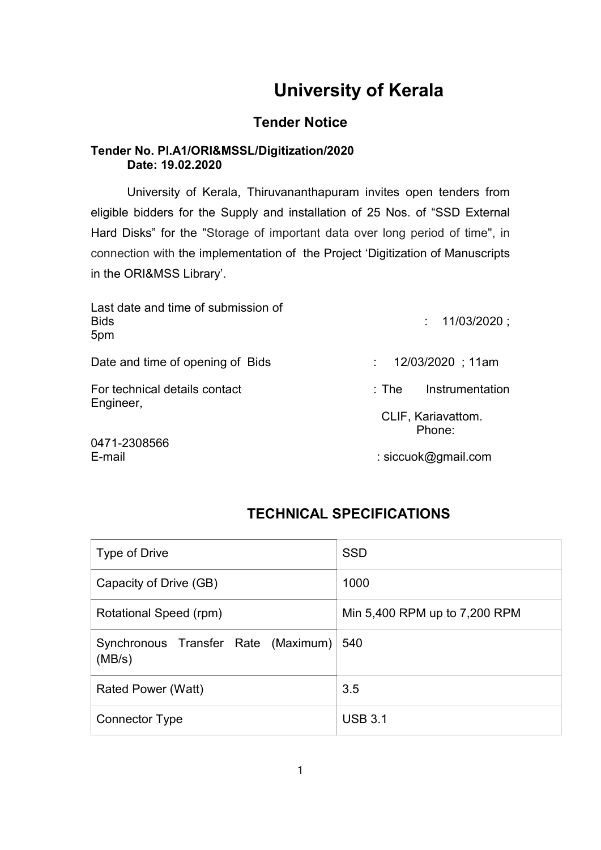# University of Kerala

## Tender Notice

### Tender No. Pl.A1/ORI&MSSL/Digitization/2020 Date: 19.02.2020

University of Kerala, Thiruvananthapuram invites open tenders from eligible bidders for the Supply and installation of 25 Nos. of "SSD External Hard Disks" for the "Storage of important data over long period of time", in connection with the implementation of the Project 'Digitization of Manuscripts in the ORI&MSS Library'.

| Last date and time of submission of<br><b>Bids</b><br>5pm | : 11/03/2020:                |
|-----------------------------------------------------------|------------------------------|
| Date and time of opening of Bids                          | 12/03/2020 ; 11am            |
| For technical details contact<br>Engineer,                | Instrumentation<br>:The      |
|                                                           | CLIF, Kariavattom.<br>Phone: |
| 0471-2308566<br>E-mail                                    | : siccuok@gmail.com          |

### TECHNICAL SPECIFICATIONS

| Type of Drive                                     | <b>SSD</b>                    |
|---------------------------------------------------|-------------------------------|
| Capacity of Drive (GB)                            | 1000                          |
| Rotational Speed (rpm)                            | Min 5,400 RPM up to 7,200 RPM |
| Synchronous Transfer Rate (Maximum) 540<br>(MB/s) |                               |
| Rated Power (Watt)                                | 3.5                           |
| <b>Connector Type</b>                             | <b>USB 3.1</b>                |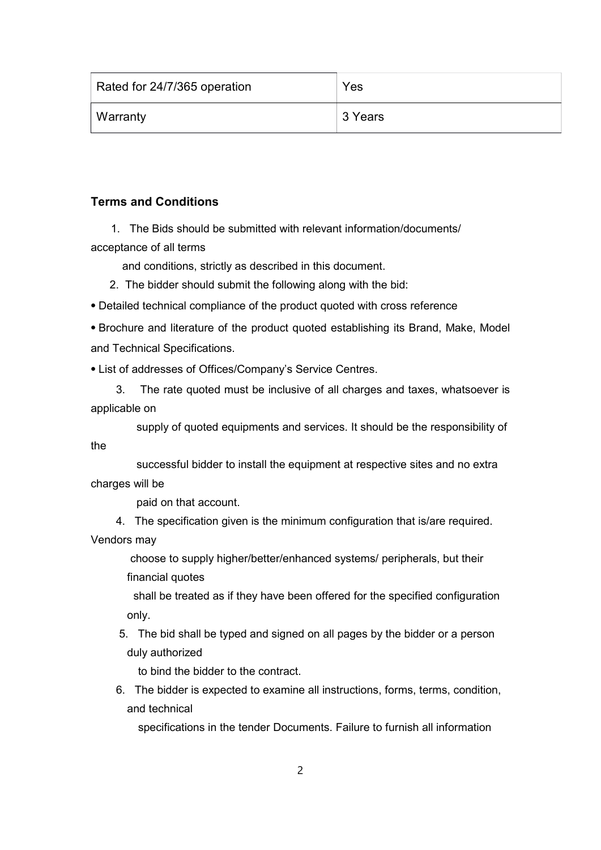| Rated for 24/7/365 operation | Yes     |
|------------------------------|---------|
| Warranty                     | 3 Years |

### Terms and Conditions

 1. The Bids should be submitted with relevant information/documents/ acceptance of all terms

and conditions, strictly as described in this document.

- 2. The bidder should submit the following along with the bid:
- ⦁ Detailed technical compliance of the product quoted with cross reference

⦁ Brochure and literature of the product quoted establishing its Brand, Make, Model and Technical Specifications.

⦁ List of addresses of Offices/Company's Service Centres.

 3. The rate quoted must be inclusive of all charges and taxes, whatsoever is applicable on

 supply of quoted equipments and services. It should be the responsibility of the

 successful bidder to install the equipment at respective sites and no extra charges will be

paid on that account.

4. The specification given is the minimum configuration that is/are required.

Vendors may

choose to supply higher/better/enhanced systems/ peripherals, but their financial quotes

 shall be treated as if they have been offered for the specified configuration only.

 5. The bid shall be typed and signed on all pages by the bidder or a person duly authorized

to bind the bidder to the contract.

 6. The bidder is expected to examine all instructions, forms, terms, condition, and technical

specifications in the tender Documents. Failure to furnish all information